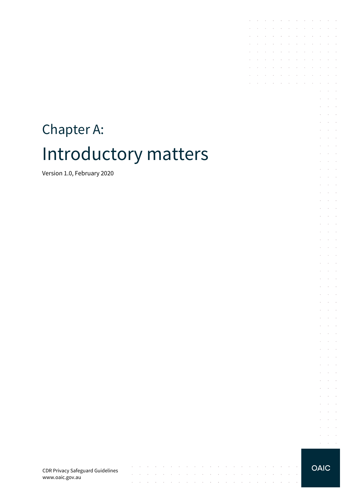# Chapter A: Introductory matters

Version 1.0, February 2020

CDR Privacy Safeguard Guidelines www.oaic.gov.au

 $\mathcal{A}^{\mathcal{A}}$  , and  $\mathcal{A}^{\mathcal{A}}$  , and  $\mathcal{A}^{\mathcal{A}}$ 

and the contract of the con-

 $\mathcal{L}$ 

 $\sim$ 

and the contract of the contract of the con-

 $\sim$ 

 $\mathcal{A}$  is a set of the set of the set of the set of the set of the set of the set of the  $\mathcal{A}$ 

 $\bar{z}$ 

 $\sim$  $\sim$ 

**Carl Carl** 

**OAIC** 

**Service**  $\mathcal{L}^{\text{max}}$  and  $\mathcal{L}^{\text{max}}$  $\alpha$  ,  $\alpha$  ,  $\alpha$ 

the contract of the contract of the

 $\mathcal{A}$  is a set of the set of the set of the set of the set of  $\mathcal{A}$ 

 $\sim$  $\mathcal{L}_{\rm{max}}$  .

the control of the control of

the control of the control of

 $\mathcal{L}^{\text{max}}$ 

 $\sim$ 

 $\sim$ 

 $\sim 10^{-11}$  $\mathcal{L}^{\text{max}}$ 

 $\sim$  $\sim 10^{-1}$  .  $\Delta\phi$  and  $\Delta\phi$  and  $\Delta\phi$ à.  $\bar{z}$  $\Delta\sim 10^{11}$  m  $^{-1}$  $\mathcal{L}^{\text{max}}$  and  $\mathcal{L}^{\text{max}}$ 

 $\alpha$  ,  $\beta$  ,  $\alpha$  ,  $\beta$  $\Delta \sim 10^{11}$  m  $^{-1}$  $\sim$  $\cdot$  $\mathcal{L}^{\text{max}}$  and  $\mathcal{L}^{\text{max}}$ **Service** State  $\bar{z}$  $\mathcal{L}^{\text{max}}$  $\mathcal{L}^{\text{max}}$  and  $\mathcal{L}^{\text{max}}$ **Service** State  $\sim$  $\sim$  $\sim$  $\mathcal{L}^{\text{max}}$  and  $\mathcal{L}^{\text{max}}$  $\mathcal{L}=\mathcal{L}=\mathcal{L}$  $\mathcal{L}^{\pm}$  $\sim 10^{-10}$  km  $\Delta\phi$  and  $\Delta\phi$  and  $\Delta\phi$ and the conand the control  $\mathcal{L}^{\text{max}}$  and  $\mathcal{L}^{\text{max}}$  $\mathcal{L}$  $\mathcal{L}^{\text{max}}$ and the control  $\mathcal{L}^{\text{max}}$  and  $\mathcal{L}^{\text{max}}$  $\mathcal{L}$  $\sim$  $\Delta\phi$  and  $\Delta\phi$  and  $\Delta\phi$  $\Delta \sim 10^{-10}$  k J. **Service** State  $\Delta \sim 10^{11}$  m  $^{-1}$  $\bar{z}$  $\Delta \sim 10^{11}$  m  $^{-1}$  $\Delta\sim 10^{-10}$  km  $^{-1}$  $\bar{z}$  $\bar{z}$  $\Delta\phi$  and  $\Delta\phi$  and  $\Delta\phi$ **Service** State  $\bar{z}$  $\cdot$  $\Delta\phi$  and  $\Delta\phi$  and  $\Delta\phi$ **Service** State  $\sim$  $\sim$  $\omega_{\rm{max}}$  $\mathcal{L}^{\text{max}}$  $\sim$ 

 $\mathcal{L}^{\mathcal{A}}$  . The contribution of the contribution of the contribution of  $\mathcal{L}^{\mathcal{A}}$ 

 $\mathcal{A}$  is a subset of the set of the set of the set of  $\mathcal{A}$ 

 $\mathcal{L}^{\mathcal{A}}$  . The contribution of the contribution of the contribution of  $\mathcal{L}^{\mathcal{A}}$ and a state of the state of the

 $\sim$  $\sim$ 

 $\mathcal{A}$ 

 $\epsilon$  $\sim$  $\sim$ 

÷.  $\sim$  $\sim 10^{-1}$ 

i.

 $\sim$  $\bar{z}$  $\sim$   $\sim$ 

> $\sim$  $\mathcal{L}_{\rm{max}}$  .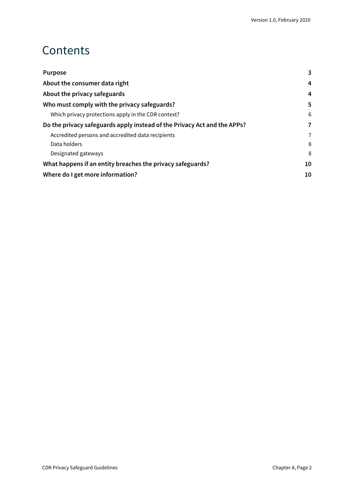### **Contents**

| <b>Purpose</b>                                                           | 3 |
|--------------------------------------------------------------------------|---|
| About the consumer data right                                            |   |
| About the privacy safeguards                                             | 4 |
| Who must comply with the privacy safeguards?                             | 5 |
| Which privacy protections apply in the CDR context?                      | 6 |
| Do the privacy safeguards apply instead of the Privacy Act and the APPs? |   |
| Accredited persons and accredited data recipients                        | 7 |
| Data holders                                                             | 8 |
| Designated gateways                                                      | 8 |
| What happens if an entity breaches the privacy safeguards?               |   |
| Where do I get more information?                                         |   |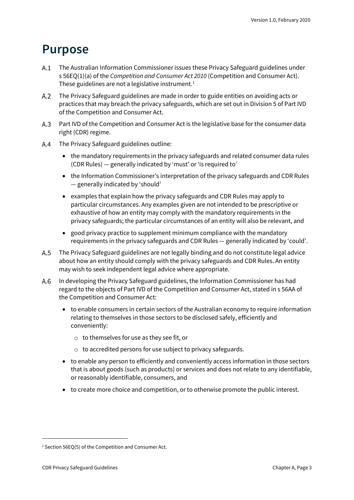#### <span id="page-2-0"></span>**Purpose**

- The Australian Information Commissioner issues these Privacy Safeguard guidelines under s 56EQ(1)(a) of the *Competition and Consumer Act 2010* (Competition and Consumer Act). These guidelines are not a legislative instrument.<sup>[1](#page-2-1)</sup>
- The Privacy Safeguard guidelines are made in order to guide entities on avoiding acts or  $A.2$ practices that may breach the privacy safeguards, which are set out in Division 5 of Part IVD of the Competition and Consumer Act.
- A.3 Part IVD of the Competition and Consumer Act is the legislative base for the consumer data right (CDR) regime.
- $A.4$ The Privacy Safeguard guidelines outline:
	- the mandatory requirements in the privacy safeguards and related consumer data rules (CDR Rules) — generally indicated by 'must' or 'is required to'
	- the Information Commissioner's interpretation of the privacy safeguards and CDR Rules — generally indicated by 'should'
	- examples that explain how the privacy safeguards and CDR Rules may apply to particular circumstances. Any examples given are not intended to be prescriptive or exhaustive of how an entity may comply with the mandatory requirements in the privacy safeguards; the particular circumstances of an entity will also be relevant, and
	- good privacy practice to supplement minimum compliance with the mandatory requirements in the privacy safeguards and CDR Rules — generally indicated by 'could'.
- $A.5$ The Privacy Safeguard guidelines are not legally binding and do not constitute legal advice about how an entity should comply with the privacy safeguards and CDR Rules. An entity may wish to seek independent legal advice where appropriate.
- In developing the Privacy Safeguard guidelines, the Information Commissioner has had  $A.6$ regard to the objects of Part IVD of the Competition and Consumer Act, stated in s 56AA of the Competition and Consumer Act:
	- to enable consumers in certain sectors of the Australian economy to require information relating to themselves in those sectors to be disclosed safely, efficiently and conveniently:
		- o to themselves for use as they see fit, or
		- o to accredited persons for use subject to privacy safeguards.
	- to enable any person to efficiently and conveniently access information in those sectors that is about goods (such as products) or services and does not relate to any identifiable, or reasonably identifiable, consumers, and
	- to create more choice and competition, or to otherwise promote the public interest.

<span id="page-2-1"></span><sup>&</sup>lt;sup>1</sup> Section 56EO(5) of the Competition and Consumer Act.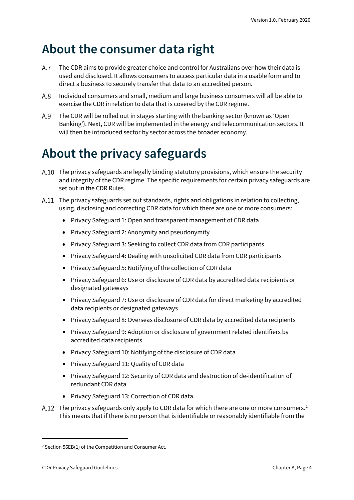### <span id="page-3-0"></span>**About the consumer data right**

- $A.7$ The CDR aims to provide greater choice and control for Australians over how their data is used and disclosed. It allows consumers to access particular data in a usable form and to direct a business to securely transfer that data to an accredited person.
- Individual consumers and small, medium and large business consumers will all be able to  $A.8$ exercise the CDR in relation to data that is covered by the CDR regime.
- A.9 The CDR will be rolled out in stages starting with the banking sector (known as 'Open Banking'). Next, CDR will be implemented in the energy and telecommunication sectors. It will then be introduced sector by sector across the broader economy.

# <span id="page-3-1"></span>**About the privacy safeguards**

- A.10 The privacy safeguards are legally binding statutory provisions, which ensure the security and integrity of the CDR regime. The specific requirements for certain privacy safeguards are set out in the CDR Rules.
- A.11 The privacy safeguards set out standards, rights and obligations in relation to collecting, using, disclosing and correcting CDR data for which there are one or more consumers:
	- Privacy Safeguard 1: Open and transparent management of CDR data
	- Privacy Safeguard 2: Anonymity and pseudonymity
	- Privacy Safeguard 3: Seeking to collect CDR data from CDR participants
	- Privacy Safeguard 4: Dealing with unsolicited CDR data from CDR participants
	- Privacy Safeguard 5: Notifying of the collection of CDR data
	- Privacy Safeguard 6: Use or disclosure of CDR data by accredited data recipients or designated gateways
	- Privacy Safeguard 7: Use or disclosure of CDR data for direct marketing by accredited data recipients or designated gateways
	- Privacy Safeguard 8: Overseas disclosure of CDR data by accredited data recipients
	- Privacy Safeguard 9: Adoption or disclosure of government related identifiers by accredited data recipients
	- Privacy Safeguard 10: Notifying of the disclosure of CDR data
	- Privacy Safeguard 11: Quality of CDR data
	- Privacy Safeguard 12: Security of CDR data and destruction of de-identification of redundant CDR data
	- Privacy Safeguard 13: Correction of CDR data
- A.1[2](#page-3-2) The privacy safeguards only apply to CDR data for which there are one or more consumers.<sup>2</sup> This means that if there is no person that is identifiable or reasonably identifiable from the

<span id="page-3-2"></span><sup>2</sup> Section 56EB(1) of the Competition and Consumer Act.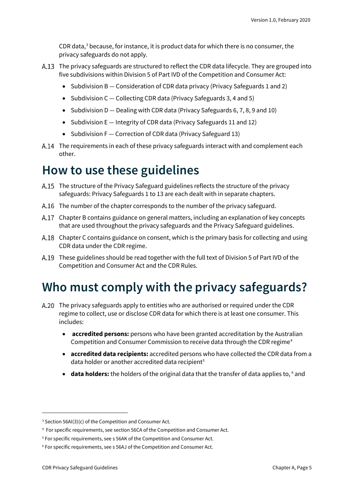CDR data, $3$  because, for instance, it is product data for which there is no consumer, the privacy safeguards do not apply.

- A.13 The privacy safeguards are structured to reflect the CDR data lifecycle. They are grouped into five subdivisions within Division 5 of Part IVD of the Competition and Consumer Act:
	- Subdivision B Consideration of CDR data privacy (Privacy Safeguards 1 and 2)
	- Subdivision C Collecting CDR data (Privacy Safeguards 3, 4 and 5)
	- Subdivision D Dealing with CDR data (Privacy Safeguards 6, 7, 8, 9 and 10)
	- Subdivision E Integrity of CDR data (Privacy Safeguards 11 and 12)
	- Subdivision F Correction of CDR data (Privacy Safeguard 13)
- A.14 The requirements in each of these privacy safeguards interact with and complement each other.

#### **How to use these guidelines**

- The structure of the Privacy Safeguard guidelines reflects the structure of the privacy safeguards: Privacy Safeguards 1 to 13 are each dealt with in separate chapters.
- A.16 The number of the chapter corresponds to the number of the privacy safeguard.
- Chapter B contains guidance on general matters, including an explanation of key concepts that are used throughout the privacy safeguards and the Privacy Safeguard guidelines.
- Chapter C contains guidance on consent, which is the primary basis for collecting and using CDR data under the CDR regime.
- A.19 These guidelines should be read together with the full text of Division 5 of Part IVD of the Competition and Consumer Act and the CDR Rules.

#### <span id="page-4-0"></span>**Who must comply with the privacy safeguards?**

- A.20 The privacy safeguards apply to entities who are authorised or required under the CDR regime to collect, use or disclose CDR data for which there is at least one consumer. This includes:
	- **accredited persons:** persons who have been granted accreditation by the Australian Competition and Consumer Commission to receive data through the CDR regime<sup>[4](#page-4-2)</sup>
	- **accredited data recipients:** accredited persons who have collected the CDR data from a data holder or another accredited data recipient<sup>[5](#page-4-3)</sup>
	- data holders: the holders of the original data that the transfer of data applies to, <sup>[6](#page-4-4)</sup> and

<span id="page-4-1"></span> $3$  Section 56AI(3)(c) of the Competition and Consumer Act.

<span id="page-4-2"></span><sup>4</sup> For specific requirements, see section 56CA of the Competition and Consumer Act.

<span id="page-4-3"></span><sup>5</sup> For specific requirements, see s 56AK of the Competition and Consumer Act.

<span id="page-4-4"></span><sup>6</sup> For specific requirements, see s 56AJ of the Competition and Consumer Act.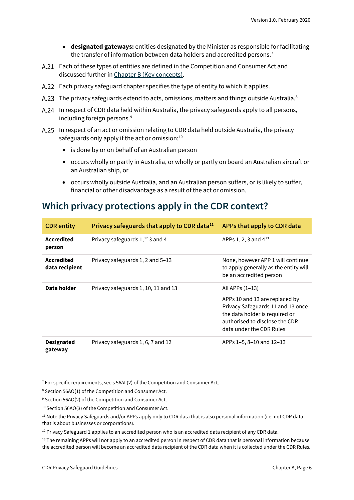- **designated gateways:** entities designated by the Minister as responsible for facilitating the transfer of information between data holders and accredited persons. [7](#page-5-1)
- Each of these types of entities are defined in the Competition and Consumer Act and discussed further in [Chapter B \(Key concepts\).](https://www.oaic.gov.au/consumer-data-right/cdr-privacy-safeguard-guidelines/chapter-b-key-concepts)
- Each privacy safeguard chapter specifies the type of entity to which it applies.
- A.23 The privacy safeguards extend to acts, omissions, matters and things outside Australia.<sup>8</sup>
- A.24 In respect of CDR data held within Australia, the privacy safeguards apply to all persons, including foreign persons.<sup>[9](#page-5-3)</sup>
- A.25 In respect of an act or omission relating to CDR data held outside Australia, the privacy safeguards only apply if the act or omission: $10$ 
	- is done by or on behalf of an Australian person
	- occurs wholly or partly in Australia, or wholly or partly on board an Australian aircraft or an Australian ship, or
	- occurs wholly outside Australia, and an Australian person suffers, or is likely to suffer, financial or other disadvantage as a result of the act or omission.

#### <span id="page-5-0"></span>**Which privacy protections apply in the CDR context?**

| <b>CDR</b> entity                   | Privacy safeguards that apply to CDR data <sup>11</sup> | APPs that apply to CDR data                                                                                                                                                            |
|-------------------------------------|---------------------------------------------------------|----------------------------------------------------------------------------------------------------------------------------------------------------------------------------------------|
| Accredited<br>person                | Privacy safeguards $1,$ <sup>12</sup> 3 and 4           | APPs 1, 2, 3 and $4^{13}$                                                                                                                                                              |
| <b>Accredited</b><br>data recipient | Privacy safeguards 1, 2 and 5-13                        | None, however APP 1 will continue<br>to apply generally as the entity will<br>be an accredited person                                                                                  |
| Data holder                         | Privacy safeguards 1, 10, 11 and 13                     | All APPs (1–13)<br>APPs 10 and 13 are replaced by<br>Privacy Safeguards 11 and 13 once<br>the data holder is required or<br>authorised to disclose the CDR<br>data under the CDR Rules |
| <b>Designated</b><br>gateway        | Privacy safeguards 1, 6, 7 and 12                       | APPs 1-5, 8-10 and 12-13                                                                                                                                                               |

<span id="page-5-1"></span> $7$  For specific requirements, see s 56AL(2) of the Competition and Consumer Act.

<span id="page-5-2"></span><sup>8</sup> Section 56AO(1) of the Competition and Consumer Act.

<span id="page-5-3"></span><sup>&</sup>lt;sup>9</sup> Section 56AO(2) of the Competition and Consumer Act.

<span id="page-5-4"></span><sup>10</sup> Section 56AO(3) of the Competition and Consumer Act.

<span id="page-5-5"></span><sup>&</sup>lt;sup>11</sup> Note the Privacy Safeguards and/or APPs apply only to CDR data that is also personal information (i.e. not CDR data that is about businesses or corporations).

<span id="page-5-6"></span><sup>&</sup>lt;sup>12</sup> Privacy Safeguard 1 applies to an accredited person who is an accredited data recipient of any CDR data.

<span id="page-5-7"></span><sup>&</sup>lt;sup>13</sup> The remaining APPs will not apply to an accredited person in respect of CDR data that is personal information because the accredited person will become an accredited data recipient of the CDR data when it is collected under the CDR Rules.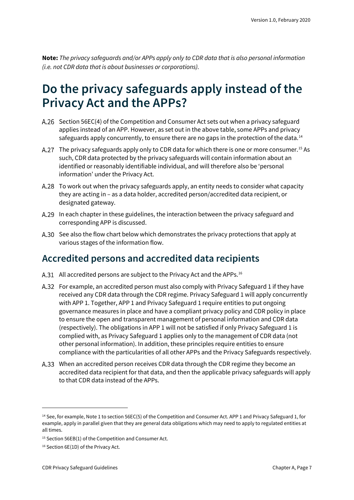**Note:** *The privacy safeguards and/or APPs apply only to CDR data that is also personal information (i.e. not CDR data that is about businesses or corporations).*

### <span id="page-6-0"></span>**Do the privacy safeguards apply instead of the Privacy Act and the APPs?**

- A.26 Section 56EC(4) of the Competition and Consumer Act sets out when a privacy safeguard applies instead of an APP. However, as set out in the above table, some APPs and privacy safeguards apply concurrently, to ensure there are no gaps in the protection of the data.<sup>[14](#page-6-2)</sup>
- The privacy safeguards apply only to CDR data for which there is one or more consumer.<sup>[15](#page-6-3)</sup> As such, CDR data protected by the privacy safeguards will contain information about an identified or reasonably identifiable individual, and will therefore also be 'personal information' under the Privacy Act.
- To work out when the privacy safeguards apply, an entity needs to consider what capacity they are acting in – as a data holder, accredited person/accredited data recipient, or designated gateway.
- A.29 In each chapter in these guidelines, the interaction between the privacy safeguard and corresponding APP is discussed.
- A.30 See also the flow chart below which demonstrates the privacy protections that apply at various stages of the information flow.

#### <span id="page-6-1"></span>**Accredited persons and accredited data recipients**

- A.31 All accredited persons are subject to the Privacy Act and the APPs.<sup>[16](#page-6-4)</sup>
- For example, an accredited person must also comply with Privacy Safeguard 1 if they have received any CDR data through the CDR regime. Privacy Safeguard 1 will apply concurrently with APP 1. Together, APP 1 and Privacy Safeguard 1 require entities to put ongoing governance measures in place and have a compliant privacy policy and CDR policy in place to ensure the open and transparent management of personal information and CDR data (respectively). The obligations in APP 1 will not be satisfied if only Privacy Safeguard 1 is complied with, as Privacy Safeguard 1 applies only to the management of CDR data (not other personal information). In addition, these principles require entities to ensure compliance with the particularities of all other APPs and the Privacy Safeguards respectively.
- A.33 When an accredited person receives CDR data through the CDR regime they become an accredited data recipient for that data, and then the applicable privacy safeguards will apply to that CDR data instead of the APPs.

<span id="page-6-2"></span><sup>&</sup>lt;sup>14</sup> See, for example, Note 1 to section 56EC(5) of the Competition and Consumer Act. APP 1 and Privacy Safeguard 1, for example, apply in parallel given that they are general data obligations which may need to apply to regulated entities at all times.

<span id="page-6-3"></span><sup>&</sup>lt;sup>15</sup> Section 56EB(1) of the Competition and Consumer Act.

<span id="page-6-4"></span><sup>&</sup>lt;sup>16</sup> Section 6E(1D) of the Privacy Act.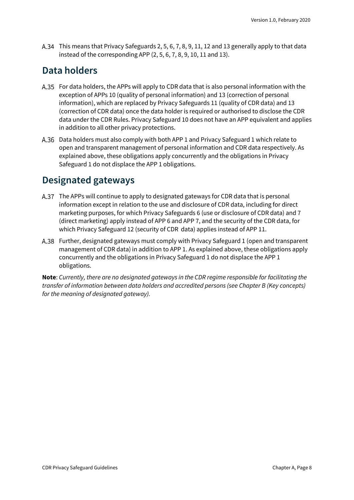This means that Privacy Safeguards 2, 5, 6, 7, 8, 9, 11, 12 and 13 generally apply to that data instead of the corresponding APP (2, 5, 6, 7, 8, 9, 10, 11 and 13).

#### <span id="page-7-0"></span>**Data holders**

- For data holders, the APPs will apply to CDR data that is also personal information with the exception of APPs 10 (quality of personal information) and 13 (correction of personal information), which are replaced by Privacy Safeguards 11 (quality of CDR data) and 13 (correction of CDR data) once the data holder is required or authorised to disclose the CDR data under the CDR Rules. Privacy Safeguard 10 does not have an APP equivalent and applies in addition to all other privacy protections.
- Data holders must also comply with both APP 1 and Privacy Safeguard 1 which relate to open and transparent management of personal information and CDR data respectively. As explained above, these obligations apply concurrently and the obligations in Privacy Safeguard 1 do not displace the APP 1 obligations.

#### <span id="page-7-1"></span>**Designated gateways**

- The APPs will continue to apply to designated gateways for CDR data that is personal information except in relation to the use and disclosure of CDR data, including for direct marketing purposes, for which Privacy Safeguards 6 (use or disclosure of CDR data) and 7 (direct marketing) apply instead of APP 6 and APP 7, and the security of the CDR data, for which Privacy Safeguard 12 (security of CDR data) applies instead of APP 11.
- Further, designated gateways must comply with Privacy Safeguard 1 (open and transparent management of CDR data) in addition to APP 1. As explained above, these obligations apply concurrently and the obligations in Privacy Safeguard 1 do not displace the APP 1 obligations.

**Note**: *Currently, there are no designated gateways in the CDR regime responsible for facilitating the transfer of information between data holders and accredited persons (see Chapter B (Key concepts) for the meaning of designated gateway).*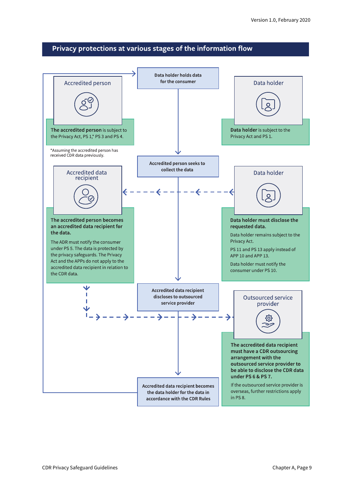#### Privacy protections at various stages of the information flow